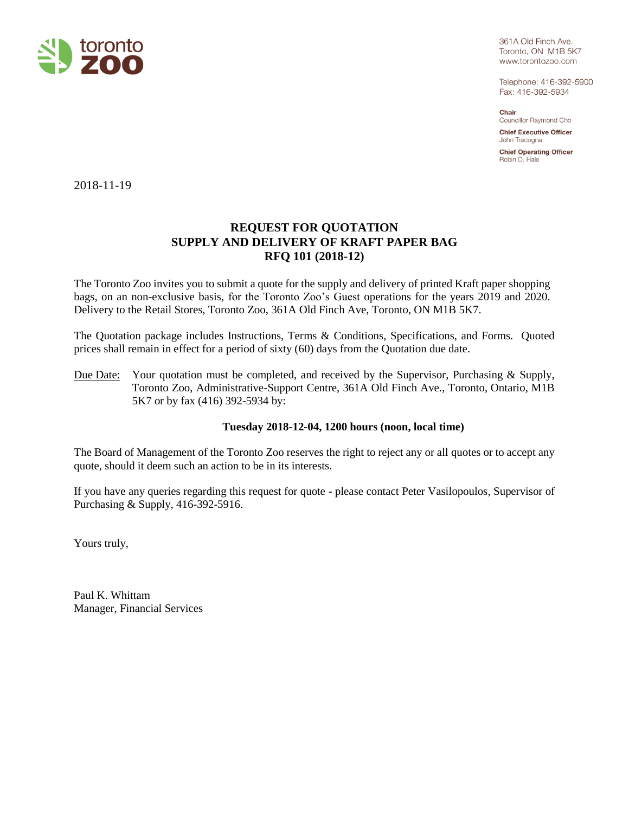

361A Old Finch Ave. Toronto, ON M1B 5K7 www.torontozoo.com

Telephone: 416-392-5900 Fax: 416-392-5934

Chair Councillor Raymond Cho

**Chief Executive Officer** John Tracogna

**Chief Operating Officer** Robin D. Hale

2018-11-19

# **REQUEST FOR QUOTATION SUPPLY AND DELIVERY OF KRAFT PAPER BAG RFQ 101 (2018-12)**

The Toronto Zoo invites you to submit a quote for the supply and delivery of printed Kraft paper shopping bags, on an non-exclusive basis, for the Toronto Zoo's Guest operations for the years 2019 and 2020. Delivery to the Retail Stores, Toronto Zoo, 361A Old Finch Ave, Toronto, ON M1B 5K7.

The Quotation package includes Instructions, Terms & Conditions, Specifications, and Forms. Quoted prices shall remain in effect for a period of sixty (60) days from the Quotation due date.

Due Date: Your quotation must be completed, and received by the Supervisor, Purchasing & Supply, Toronto Zoo, Administrative-Support Centre, 361A Old Finch Ave., Toronto, Ontario, M1B 5K7 or by fax (416) 392-5934 by:

## **Tuesday 2018-12-04, 1200 hours (noon, local time)**

The Board of Management of the Toronto Zoo reserves the right to reject any or all quotes or to accept any quote, should it deem such an action to be in its interests.

If you have any queries regarding this request for quote - please contact Peter Vasilopoulos, Supervisor of Purchasing & Supply, 416-392-5916.

Yours truly,

Paul K. Whittam Manager, Financial Services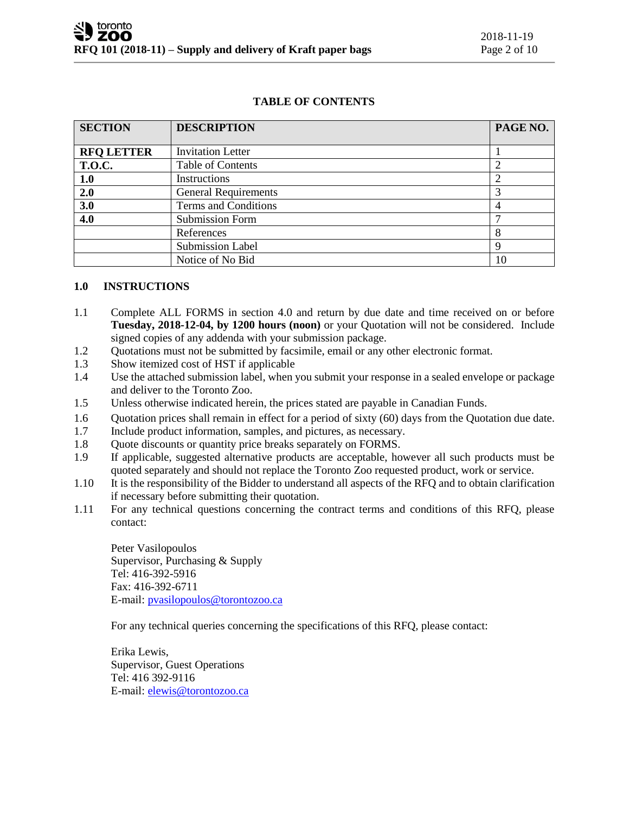# **TABLE OF CONTENTS**

| <b>SECTION</b>    | <b>DESCRIPTION</b>          | PAGE NO. |
|-------------------|-----------------------------|----------|
| <b>RFQ LETTER</b> | <b>Invitation Letter</b>    |          |
|                   |                             |          |
| <b>T.O.C.</b>     | <b>Table of Contents</b>    |          |
| 1.0               | Instructions                | ↑        |
| 2.0               | <b>General Requirements</b> |          |
| 3.0               | Terms and Conditions        | 4        |
| 4.0               | <b>Submission Form</b>      |          |
|                   | References                  | 8        |
|                   | <b>Submission Label</b>     | 9        |
|                   | Notice of No Bid            | 10       |

#### **1.0 INSTRUCTIONS**

- 1.1 Complete ALL FORMS in section 4.0 and return by due date and time received on or before **Tuesday, 2018-12-04, by 1200 hours (noon)** or your Quotation will not be considered. Include signed copies of any addenda with your submission package.
- 1.2 Quotations must not be submitted by facsimile, email or any other electronic format.
- 1.3 Show itemized cost of HST if applicable
- 1.4 Use the attached submission label, when you submit your response in a sealed envelope or package and deliver to the Toronto Zoo.
- 1.5 Unless otherwise indicated herein, the prices stated are payable in Canadian Funds.
- 1.6 Quotation prices shall remain in effect for a period of sixty (60) days from the Quotation due date.
- 1.7 Include product information, samples, and pictures, as necessary.
- 1.8 Quote discounts or quantity price breaks separately on FORMS.
- 1.9 If applicable, suggested alternative products are acceptable, however all such products must be quoted separately and should not replace the Toronto Zoo requested product, work or service.
- 1.10 It is the responsibility of the Bidder to understand all aspects of the RFQ and to obtain clarification if necessary before submitting their quotation.
- 1.11 For any technical questions concerning the contract terms and conditions of this RFQ, please contact:

Peter Vasilopoulos Supervisor, Purchasing & Supply Tel: 416-392-5916 Fax: 416-392-6711 E-mail[: pvasilopoulos@torontozoo.ca](mailto:pvasilopoulos@torontozoo.ca)

For any technical queries concerning the specifications of this RFQ, please contact:

Erika Lewis, Supervisor, Guest Operations Tel: 416 392-9116 E-mail[: elewis@torontozoo.ca](mailto:elewis@torontozoo.ca)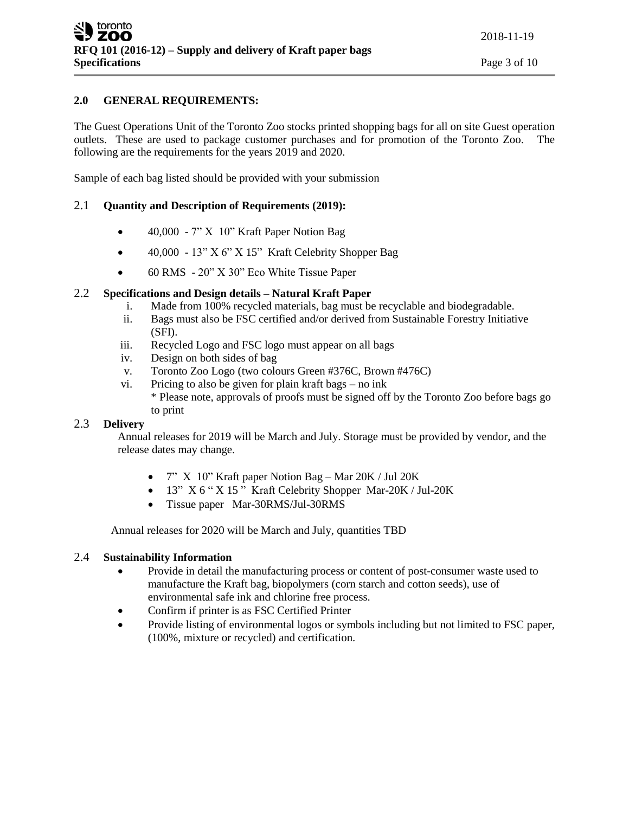# **2.0 GENERAL REQUIREMENTS:**

The Guest Operations Unit of the Toronto Zoo stocks printed shopping bags for all on site Guest operation outlets. These are used to package customer purchases and for promotion of the Toronto Zoo. The following are the requirements for the years 2019 and 2020.

Sample of each bag listed should be provided with your submission

# 2.1 **Quantity and Description of Requirements (2019):**

- 40,000 7" X 10" Kraft Paper Notion Bag
- $\bullet$  40,000 13" X 6" X 15" Kraft Celebrity Shopper Bag
- 60 RMS 20" X 30" Eco White Tissue Paper

## 2.2 **Specifications and Design details – Natural Kraft Paper**

- i. Made from 100% recycled materials, bag must be recyclable and biodegradable.
- ii. Bags must also be FSC certified and/or derived from Sustainable Forestry Initiative (SFI).
- iii. Recycled Logo and FSC logo must appear on all bags
- iv. Design on both sides of bag
- v. Toronto Zoo Logo (two colours Green #376C, Brown #476C)
- vi. Pricing to also be given for plain kraft bags no ink \* Please note, approvals of proofs must be signed off by the Toronto Zoo before bags go to print

## 2.3 **Delivery**

Annual releases for 2019 will be March and July. Storage must be provided by vendor, and the release dates may change.

- $7''$  X 10" Kraft paper Notion Bag Mar 20K / Jul 20K
- 13" X 6 " X 15" Kraft Celebrity Shopper Mar-20K / Jul-20K
- Tissue paper Mar-30RMS/Jul-30RMS

Annual releases for 2020 will be March and July, quantities TBD

## 2.4 **Sustainability Information**

- Provide in detail the manufacturing process or content of post-consumer waste used to manufacture the Kraft bag, biopolymers (corn starch and cotton seeds), use of environmental safe ink and chlorine free process.
- Confirm if printer is as FSC Certified Printer
- Provide listing of environmental logos or symbols including but not limited to FSC paper, (100%, mixture or recycled) and certification.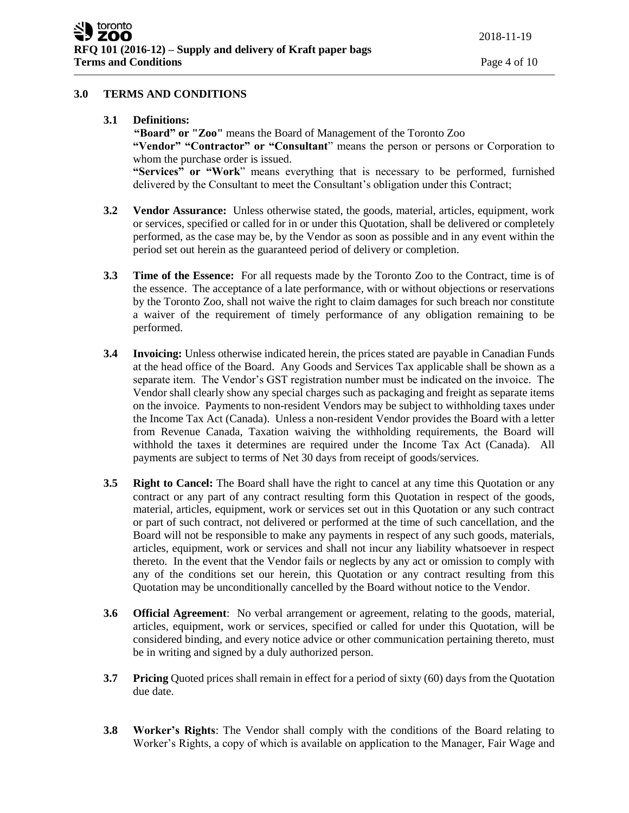## **3.0 TERMS AND CONDITIONS**

**3.1 Definitions:**

**"Board" or "Zoo"** means the Board of Management of the Toronto Zoo **"Vendor" "Contractor" or "Consultant**" means the person or persons or Corporation to whom the purchase order is issued. **"Services" or "Work**" means everything that is necessary to be performed, furnished delivered by the Consultant to meet the Consultant's obligation under this Contract;

- **3.2 Vendor Assurance:** Unless otherwise stated, the goods, material, articles, equipment, work or services, specified or called for in or under this Quotation, shall be delivered or completely performed, as the case may be, by the Vendor as soon as possible and in any event within the period set out herein as the guaranteed period of delivery or completion.
- **3.3 Time of the Essence:** For all requests made by the Toronto Zoo to the Contract, time is of the essence. The acceptance of a late performance, with or without objections or reservations by the Toronto Zoo, shall not waive the right to claim damages for such breach nor constitute a waiver of the requirement of timely performance of any obligation remaining to be performed.
- **3.4 Invoicing:** Unless otherwise indicated herein, the prices stated are payable in Canadian Funds at the head office of the Board. Any Goods and Services Tax applicable shall be shown as a separate item. The Vendor's GST registration number must be indicated on the invoice. The Vendor shall clearly show any special charges such as packaging and freight as separate items on the invoice. Payments to non-resident Vendors may be subject to withholding taxes under the Income Tax Act (Canada). Unless a non-resident Vendor provides the Board with a letter from Revenue Canada, Taxation waiving the withholding requirements, the Board will withhold the taxes it determines are required under the Income Tax Act (Canada). All payments are subject to terms of Net 30 days from receipt of goods/services.
- **3.5 Right to Cancel:** The Board shall have the right to cancel at any time this Quotation or any contract or any part of any contract resulting form this Quotation in respect of the goods, material, articles, equipment, work or services set out in this Quotation or any such contract or part of such contract, not delivered or performed at the time of such cancellation, and the Board will not be responsible to make any payments in respect of any such goods, materials, articles, equipment, work or services and shall not incur any liability whatsoever in respect thereto. In the event that the Vendor fails or neglects by any act or omission to comply with any of the conditions set our herein, this Quotation or any contract resulting from this Quotation may be unconditionally cancelled by the Board without notice to the Vendor.
- **3.6 Official Agreement**: No verbal arrangement or agreement, relating to the goods, material, articles, equipment, work or services, specified or called for under this Quotation, will be considered binding, and every notice advice or other communication pertaining thereto, must be in writing and signed by a duly authorized person.
- **3.7 Pricing** Quoted prices shall remain in effect for a period of sixty (60) days from the Quotation due date.
- **3.8 Worker's Rights**: The Vendor shall comply with the conditions of the Board relating to Worker's Rights, a copy of which is available on application to the Manager, Fair Wage and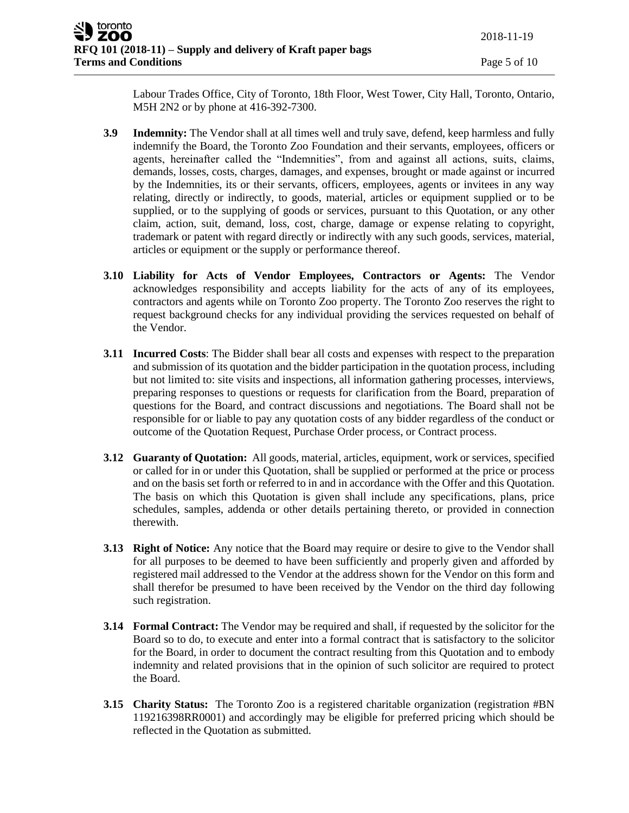Labour Trades Office, City of Toronto, 18th Floor, West Tower, City Hall, Toronto, Ontario, M5H 2N2 or by phone at 416-392-7300.

- **3.9 Indemnity:** The Vendor shall at all times well and truly save, defend, keep harmless and fully indemnify the Board, the Toronto Zoo Foundation and their servants, employees, officers or agents, hereinafter called the "Indemnities", from and against all actions, suits, claims, demands, losses, costs, charges, damages, and expenses, brought or made against or incurred by the Indemnities, its or their servants, officers, employees, agents or invitees in any way relating, directly or indirectly, to goods, material, articles or equipment supplied or to be supplied, or to the supplying of goods or services, pursuant to this Quotation, or any other claim, action, suit, demand, loss, cost, charge, damage or expense relating to copyright, trademark or patent with regard directly or indirectly with any such goods, services, material, articles or equipment or the supply or performance thereof.
- **3.10 Liability for Acts of Vendor Employees, Contractors or Agents:** The Vendor acknowledges responsibility and accepts liability for the acts of any of its employees, contractors and agents while on Toronto Zoo property. The Toronto Zoo reserves the right to request background checks for any individual providing the services requested on behalf of the Vendor.
- **3.11 Incurred Costs**: The Bidder shall bear all costs and expenses with respect to the preparation and submission of its quotation and the bidder participation in the quotation process, including but not limited to: site visits and inspections, all information gathering processes, interviews, preparing responses to questions or requests for clarification from the Board, preparation of questions for the Board, and contract discussions and negotiations. The Board shall not be responsible for or liable to pay any quotation costs of any bidder regardless of the conduct or outcome of the Quotation Request, Purchase Order process, or Contract process.
- **3.12 Guaranty of Quotation:** All goods, material, articles, equipment, work or services, specified or called for in or under this Quotation, shall be supplied or performed at the price or process and on the basis set forth or referred to in and in accordance with the Offer and this Quotation. The basis on which this Quotation is given shall include any specifications, plans, price schedules, samples, addenda or other details pertaining thereto, or provided in connection therewith.
- **3.13 Right of Notice:** Any notice that the Board may require or desire to give to the Vendor shall for all purposes to be deemed to have been sufficiently and properly given and afforded by registered mail addressed to the Vendor at the address shown for the Vendor on this form and shall therefor be presumed to have been received by the Vendor on the third day following such registration.
- **3.14 Formal Contract:** The Vendor may be required and shall, if requested by the solicitor for the Board so to do, to execute and enter into a formal contract that is satisfactory to the solicitor for the Board, in order to document the contract resulting from this Quotation and to embody indemnity and related provisions that in the opinion of such solicitor are required to protect the Board.
- **3.15 Charity Status:** The Toronto Zoo is a registered charitable organization (registration #BN 119216398RR0001) and accordingly may be eligible for preferred pricing which should be reflected in the Quotation as submitted.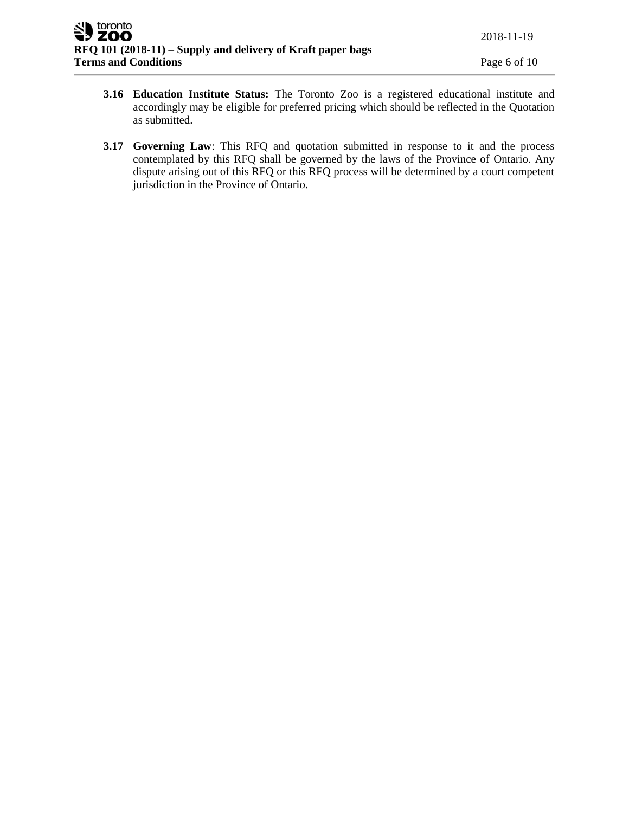- **3.16 Education Institute Status:** The Toronto Zoo is a registered educational institute and accordingly may be eligible for preferred pricing which should be reflected in the Quotation as submitted.
- **3.17 Governing Law**: This RFQ and quotation submitted in response to it and the process contemplated by this RFQ shall be governed by the laws of the Province of Ontario. Any dispute arising out of this RFQ or this RFQ process will be determined by a court competent jurisdiction in the Province of Ontario.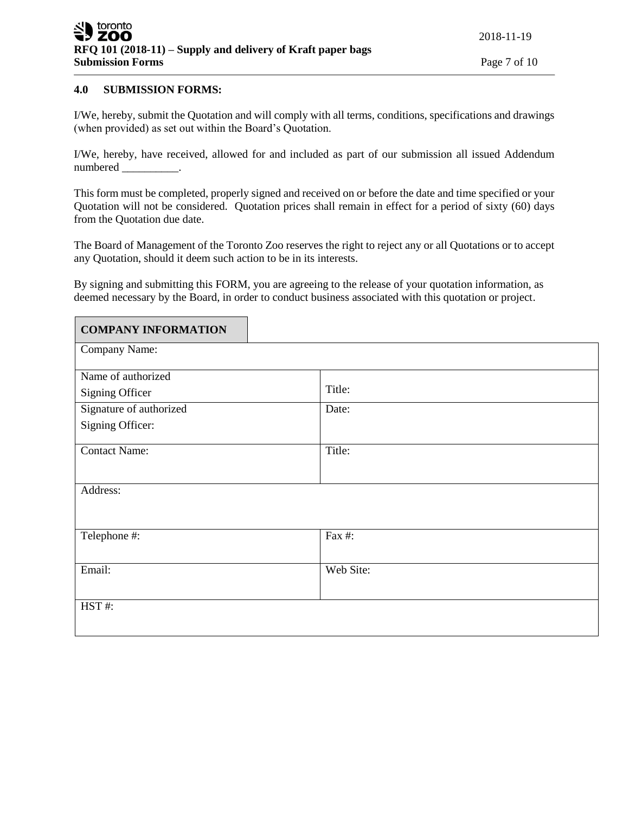### **4.0 SUBMISSION FORMS:**

 $\blacksquare$ 

I/We, hereby, submit the Quotation and will comply with all terms, conditions, specifications and drawings (when provided) as set out within the Board's Quotation.

I/We, hereby, have received, allowed for and included as part of our submission all issued Addendum numbered .

This form must be completed, properly signed and received on or before the date and time specified or your Quotation will not be considered. Quotation prices shall remain in effect for a period of sixty (60) days from the Quotation due date.

The Board of Management of the Toronto Zoo reserves the right to reject any or all Quotations or to accept any Quotation, should it deem such action to be in its interests.

By signing and submitting this FORM, you are agreeing to the release of your quotation information, as deemed necessary by the Board, in order to conduct business associated with this quotation or project.

| <b>COMPANY INFORMATION</b> |           |
|----------------------------|-----------|
| Company Name:              |           |
| Name of authorized         |           |
| <b>Signing Officer</b>     | Title:    |
| Signature of authorized    | Date:     |
| Signing Officer:           |           |
| <b>Contact Name:</b>       | Title:    |
| Address:                   |           |
| Telephone #:               | Fax #:    |
| Email:                     | Web Site: |
| HST#:                      |           |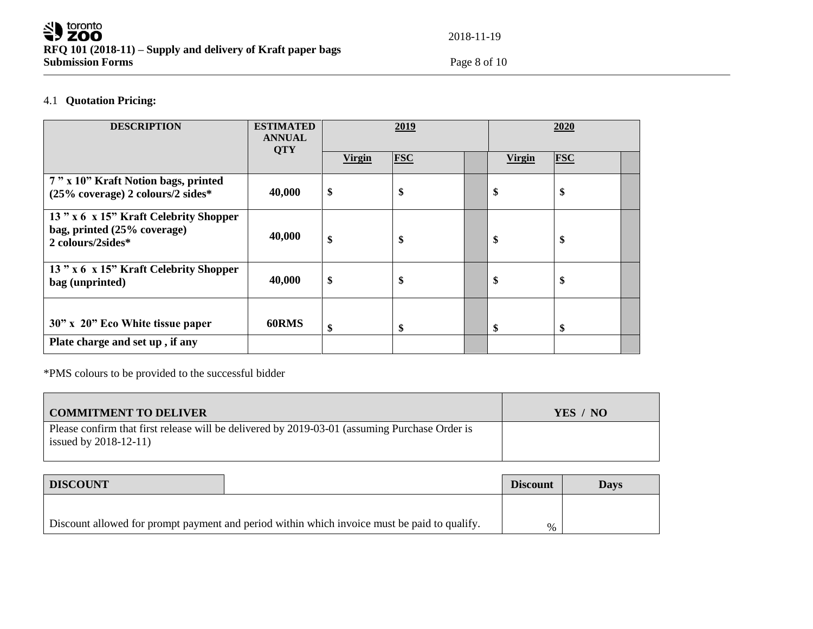

2018-11-19

# 4.1 **Quotation Pricing:**

| <b>DESCRIPTION</b>                                                                        | <b>ESTIMATED</b><br><b>ANNUAL</b><br><b>QTY</b> |               | 2019       |               | 2020       |  |
|-------------------------------------------------------------------------------------------|-------------------------------------------------|---------------|------------|---------------|------------|--|
|                                                                                           |                                                 | <b>Virgin</b> | <b>FSC</b> | <b>Virgin</b> | <b>FSC</b> |  |
| 7" x 10" Kraft Notion bags, printed<br>(25% coverage) 2 colours/2 sides*                  | 40,000                                          | \$            | \$         | \$            | \$         |  |
| 13" x 6 x 15" Kraft Celebrity Shopper<br>bag, printed (25% coverage)<br>2 colours/2sides* | 40,000                                          | \$            | \$         | \$            | \$         |  |
| 13" x 6 x 15" Kraft Celebrity Shopper<br>bag (unprinted)                                  | 40,000                                          | \$            | \$         | \$            | \$         |  |
| 30" x 20" Eco White tissue paper<br>Plate charge and set up, if any                       | 60RMS                                           | \$            | \$         | \$            | \$         |  |

\*PMS colours to be provided to the successful bidder

| <b>COMMITMENT TO DELIVER</b>                                                                                              | YES / NO |
|---------------------------------------------------------------------------------------------------------------------------|----------|
| Please confirm that first release will be delivered by 2019-03-01 (assuming Purchase Order is<br>issued by $2018-12-11$ ) |          |
|                                                                                                                           |          |

| <b>DISCOUNT</b>                                                                              |  | <b>Discount</b> | <b>Days</b> |
|----------------------------------------------------------------------------------------------|--|-----------------|-------------|
|                                                                                              |  |                 |             |
| Discount allowed for prompt payment and period within which invoice must be paid to qualify. |  | %               |             |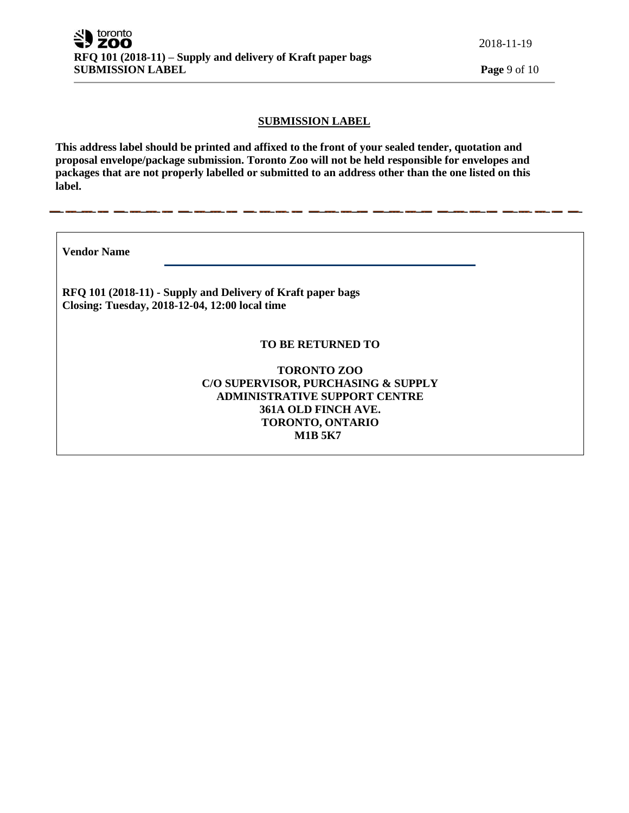2018-11-19

## **SUBMISSION LABEL**

**This address label should be printed and affixed to the front of your sealed tender, quotation and proposal envelope/package submission. Toronto Zoo will not be held responsible for envelopes and packages that are not properly labelled or submitted to an address other than the one listed on this label.**

**Vendor Name** 

**RFQ 101 (2018-11) - Supply and Delivery of Kraft paper bags Closing: Tuesday, 2018-12-04, 12:00 local time**

## **TO BE RETURNED TO**

**TORONTO ZOO C/O SUPERVISOR, PURCHASING & SUPPLY ADMINISTRATIVE SUPPORT CENTRE 361A OLD FINCH AVE. TORONTO, ONTARIO M1B 5K7**